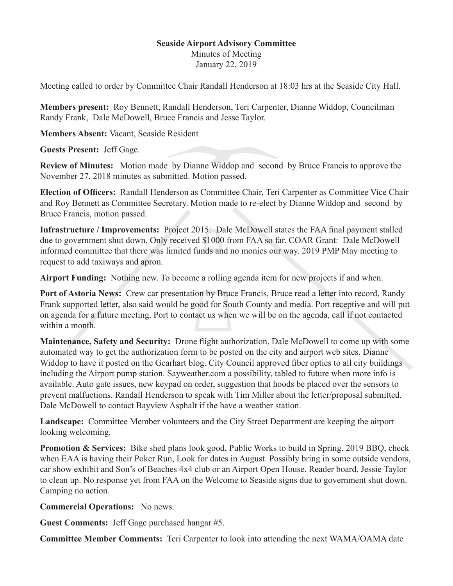## **Seaside Airport Advisory Committee**

Minutes of Meeting January 22, 2019

Meeting called to order by Committee Chair Randall Henderson at 18:03 hrs at the Seaside City Hall.

**Members present:** Roy Bennett, Randall Henderson, Teri Carpenter, Dianne Widdop, Councilman Randy Frank, Dale McDowell, Bruce Francis and Jesse Taylor.

**Members Absent:** Vacant, Seaside Resident

**Guests Present:** Jeff Gage.

**Review of Minutes:** Motion made by Dianne Widdop and second by Bruce Francis to approve the November 27, 2018 minutes as submitted. Motion passed.

**Election of Officers:** Randall Henderson as Committee Chair, Teri Carpenter as Committee Vice Chair and Roy Bennett as Committee Secretary. Motion made to re-elect by Dianne Widdop and second by Bruce Francis, motion passed.

**Infrastructure / Improvements:** Project 2015: Dale McDowell states the FAA final payment stalled due to government shut down, Only received \$1000 from FAA so far. COAR Grant: Dale McDowell informed committee that there was limited funds and no monies our way. 2019 PMP May meeting to request to add taxiways and apron.

**Airport Funding:** Nothing new. To become a rolling agenda item for new projects if and when.

**Port of Astoria News:** Crew car presentation by Bruce Francis, Bruce read a letter into record, Randy Frank supported letter, also said would be good for South County and media. Port receptive and will put on agenda for a future meeting. Port to contact us when we will be on the agenda, call if not contacted within a month.

**Maintenance, Safety and Security:** Drone flight authorization, Dale McDowell to come up with some automated way to get the authorization form to be posted on the city and airport web sites. Dianne Widdop to have it posted on the Gearhart blog. City Council approved fiber optics to all city buildings including the Airport pump station. Sayweather.com a possibility, tabled to future when more info is available. Auto gate issues, new keypad on order, suggestion that hoods be placed over the sensors to prevent malfuctions. Randall Henderson to speak with Tim Miller about the letter/proposal submitted. Dale McDowell to contact Bayview Asphalt if the have a weather station.

**Landscape:** Committee Member volunteers and the City Street Department are keeping the airport looking welcoming.

**Promotion & Services:** Bike shed plans look good, Public Works to build in Spring. 2019 BBQ, check when EAA is having their Poker Run, Look for dates in August. Possibly bring in some outside vendors, car show exhibit and Son's of Beaches 4x4 club or an Airport Open House. Reader board, Jessie Taylor to clean up. No response yet from FAA on the Welcome to Seaside signs due to government shut down. Camping no action.

**Commercial Operations:** No news.

**Guest Comments:** Jeff Gage purchased hangar #5.

**Committee Member Comments:** Teri Carpenter to look into attending the next WAMA/OAMA date